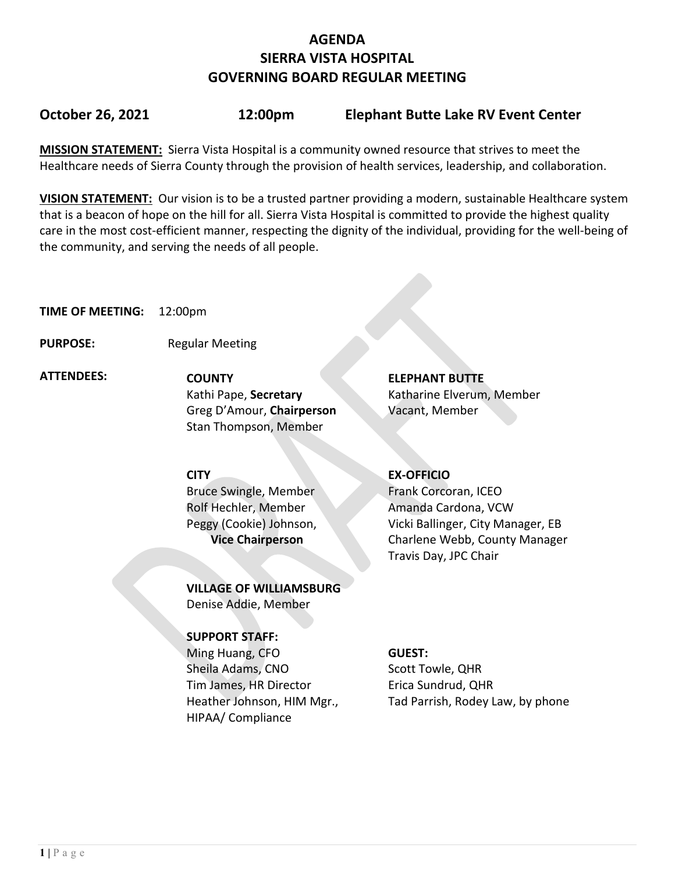## **AGENDA SIERRA VISTA HOSPITAL GOVERNING BOARD REGULAR MEETING**

## **October 26, 2021 12:00pm Elephant Butte Lake RV Event Center**

**MISSION STATEMENT:** Sierra Vista Hospital is a community owned resource that strives to meet the Healthcare needs of Sierra County through the provision of health services, leadership, and collaboration.

**VISION STATEMENT:** Our vision is to be a trusted partner providing a modern, sustainable Healthcare system that is a beacon of hope on the hill for all. Sierra Vista Hospital is committed to provide the highest quality care in the most cost-efficient manner, respecting the dignity of the individual, providing for the well-being of the community, and serving the needs of all people.

**TIME OF MEETING:** 12:00pm

**PURPOSE:** Regular Meeting

 **ATTENDEES: COUNTY ELEPHANT BUTTE**  Greg D'Amour, **Chairperson** Vacant, Member Stan Thompson, Member

Kathi Pape, **Secretary** Katharine Elverum, Member

**CITY EX-OFFICIO** Bruce Swingle, Member Rolf Hechler, Member Peggy (Cookie) Johnson,  **Vice Chairperson**

**VILLAGE OF WILLIAMSBURG** Denise Addie, Member

### **SUPPORT STAFF:**

Ming Huang, CFO Sheila Adams, CNO Tim James, HR Director Heather Johnson, HIM Mgr., HIPAA/ Compliance

Frank Corcoran, ICEO Amanda Cardona, VCW Vicki Ballinger, City Manager, EB Charlene Webb, County Manager Travis Day, JPC Chair

### **GUEST:**

Scott Towle, QHR Erica Sundrud, QHR Tad Parrish, Rodey Law, by phone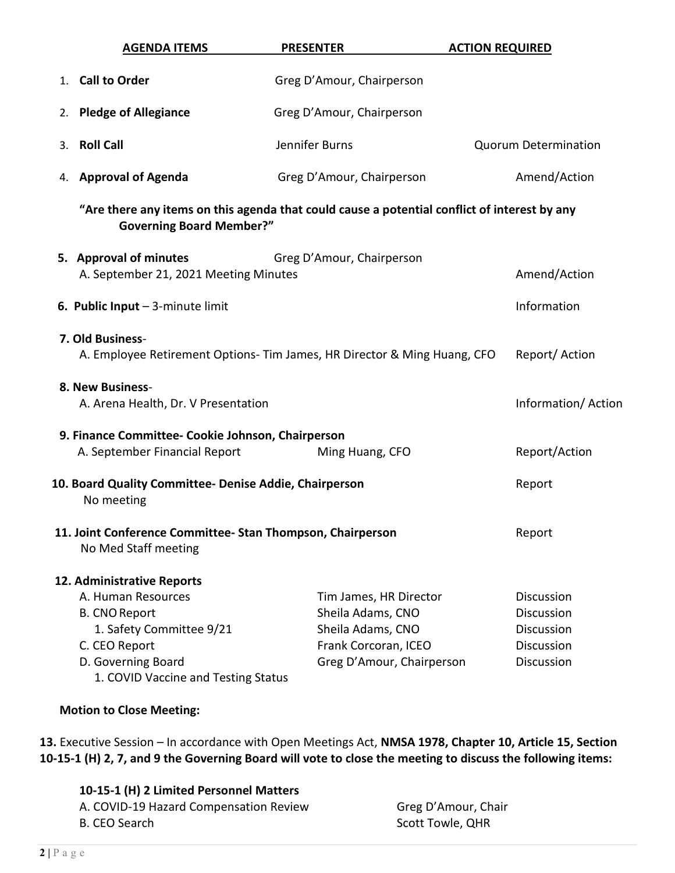| <b>AGENDA ITEMS</b>                                                                | <b>PRESENTER</b>                                                                             | <b>ACTION REQUIRED</b>      |
|------------------------------------------------------------------------------------|----------------------------------------------------------------------------------------------|-----------------------------|
| 1. Call to Order                                                                   | Greg D'Amour, Chairperson                                                                    |                             |
| <b>Pledge of Allegiance</b><br>2.                                                  | Greg D'Amour, Chairperson                                                                    |                             |
| <b>Roll Call</b><br>3.                                                             | Jennifer Burns                                                                               | <b>Quorum Determination</b> |
| 4. Approval of Agenda                                                              | Greg D'Amour, Chairperson                                                                    | Amend/Action                |
| <b>Governing Board Member?"</b>                                                    | "Are there any items on this agenda that could cause a potential conflict of interest by any |                             |
| 5. Approval of minutes<br>A. September 21, 2021 Meeting Minutes                    | Greg D'Amour, Chairperson                                                                    | Amend/Action                |
| 6. Public Input $-$ 3-minute limit                                                 |                                                                                              | Information                 |
| 7. Old Business-                                                                   | A. Employee Retirement Options- Tim James, HR Director & Ming Huang, CFO                     | Report/Action               |
| 8. New Business-<br>A. Arena Health, Dr. V Presentation                            |                                                                                              | Information/Action          |
| 9. Finance Committee- Cookie Johnson, Chairperson<br>A. September Financial Report | Ming Huang, CFO                                                                              | Report/Action               |
| 10. Board Quality Committee- Denise Addie, Chairperson<br>No meeting               |                                                                                              | Report                      |
| 11. Joint Conference Committee-Stan Thompson, Chairperson<br>No Med Staff meeting  |                                                                                              | Report                      |
| 12. Administrative Reports                                                         |                                                                                              |                             |
| A. Human Resources                                                                 | Tim James, HR Director                                                                       | <b>Discussion</b>           |
| <b>B. CNO Report</b>                                                               | Sheila Adams, CNO                                                                            | Discussion                  |
| 1. Safety Committee 9/21                                                           | Sheila Adams, CNO                                                                            | <b>Discussion</b>           |
| C. CEO Report                                                                      | Frank Corcoran, ICEO                                                                         | <b>Discussion</b>           |
| D. Governing Board<br>1. COVID Vaccine and Testing Status                          | Greg D'Amour, Chairperson                                                                    | Discussion                  |
| <b>Motion to Close Meeting:</b>                                                    |                                                                                              |                             |

**13.** Executive Session – In accordance with Open Meetings Act, **NMSA 1978, Chapter 10, Article 15, Section 10-15-1 (H) 2, 7, and 9 the Governing Board will vote to close the meeting to discuss the following items:**

| Greg D'Amour, Chair |
|---------------------|
| Scott Towle, QHR    |
|                     |